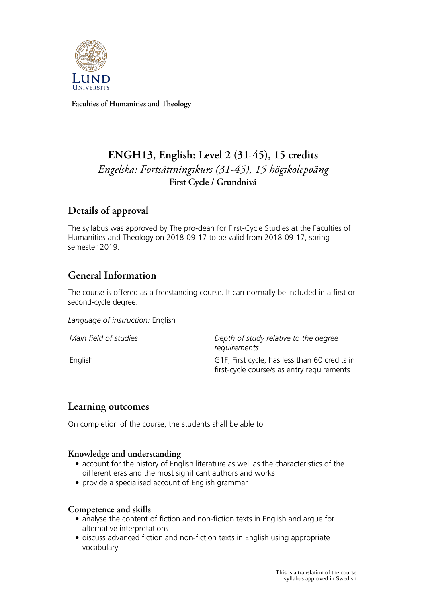

**Faculties of Humanities and Theology**

# **ENGH13, English: Level 2 (31-45), 15 credits** *Engelska: Fortsättningskurs (31-45), 15 högskolepoäng* **First Cycle / Grundnivå**

## **Details of approval**

The syllabus was approved by The pro-dean for First-Cycle Studies at the Faculties of Humanities and Theology on 2018-09-17 to be valid from 2018-09-17, spring semester 2019.

## **General Information**

The course is offered as a freestanding course. It can normally be included in a first or second-cycle degree.

*Language of instruction:* English

*Main field of studies Depth of study relative to the degree requirements* English G1F, First cycle, has less than 60 credits in first-cycle course/s as entry requirements

### **Learning outcomes**

On completion of the course, the students shall be able to

#### **Knowledge and understanding**

- account for the history of English literature as well as the characteristics of the different eras and the most significant authors and works
- provide a specialised account of English grammar

#### **Competence and skills**

- analyse the content of fiction and non-fiction texts in English and argue for alternative interpretations
- discuss advanced fiction and non-fiction texts in English using appropriate vocabulary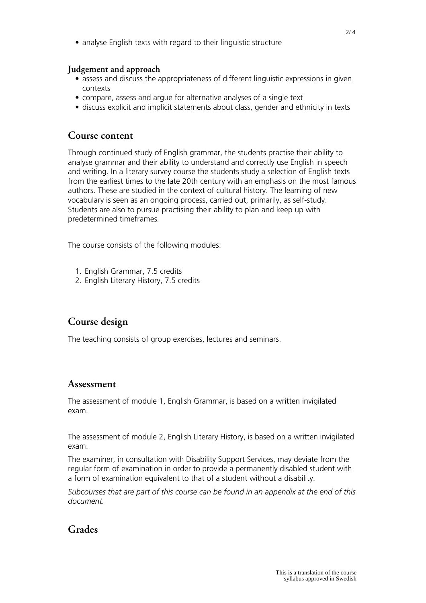• analyse English texts with regard to their linguistic structure

#### **Judgement and approach**

- assess and discuss the appropriateness of different linguistic expressions in given contexts
- compare, assess and argue for alternative analyses of a single text
- discuss explicit and implicit statements about class, gender and ethnicity in texts

### **Course content**

Through continued study of English grammar, the students practise their ability to analyse grammar and their ability to understand and correctly use English in speech and writing. In a literary survey course the students study a selection of English texts from the earliest times to the late 20th century with an emphasis on the most famous authors. These are studied in the context of cultural history. The learning of new vocabulary is seen as an ongoing process, carried out, primarily, as self-study. Students are also to pursue practising their ability to plan and keep up with predetermined timeframes*.*

The course consists of the following modules:

- 1. English Grammar, 7.5 credits
- 2. English Literary History, 7.5 credits

### **Course design**

The teaching consists of group exercises, lectures and seminars.

### **Assessment**

The assessment of module 1, English Grammar, is based on a written invigilated exam.

The assessment of module 2, English Literary History, is based on a written invigilated exam.

The examiner, in consultation with Disability Support Services, may deviate from the regular form of examination in order to provide a permanently disabled student with a form of examination equivalent to that of a student without a disability.

*Subcourses that are part of this course can be found in an appendix at the end of this document.*

### **Grades**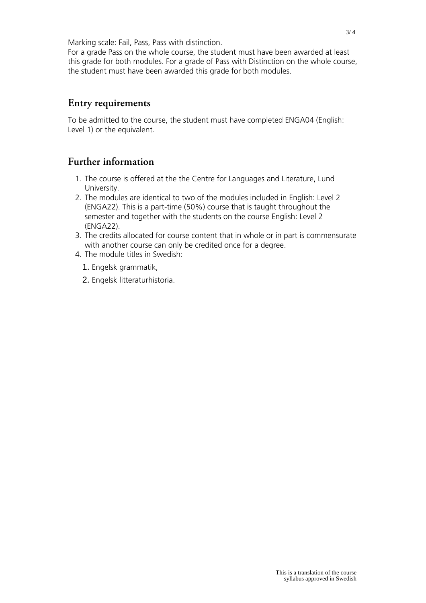Marking scale: Fail, Pass, Pass with distinction.

For a grade Pass on the whole course, the student must have been awarded at least this grade for both modules. For a grade of Pass with Distinction on the whole course, the student must have been awarded this grade for both modules.

### **Entry requirements**

To be admitted to the course, the student must have completed ENGA04 (English: Level 1) or the equivalent.

## **Further information**

- 1. The course is offered at the the Centre for Languages and Literature, Lund University.
- 2. The modules are identical to two of the modules included in English: Level 2 (ENGA22). This is a part-time (50%) course that is taught throughout the semester and together with the students on the course English: Level 2 (ENGA22).
- 3. The credits allocated for course content that in whole or in part is commensurate with another course can only be credited once for a degree.
- 4. The module titles in Swedish:
	- 1. Engelsk grammatik,
	- 2. Engelsk litteraturhistoria.